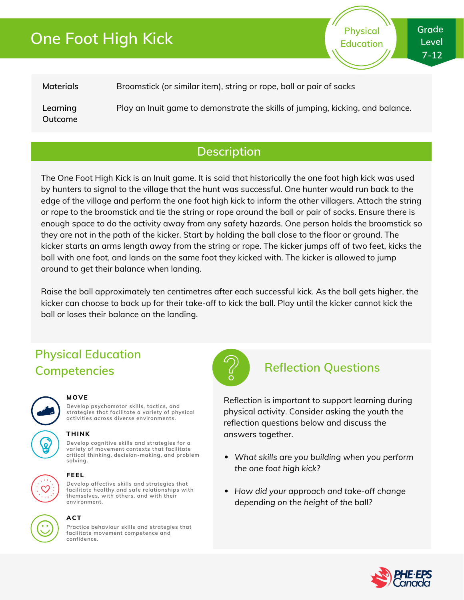# **One Foot High Kick**

**Physical Education** **Grade Level 7-12**

| Materials           | Broomstick (or similar item), string or rope, ball or pair of socks            |
|---------------------|--------------------------------------------------------------------------------|
| Learning<br>Outcome | Play an Inuit game to demonstrate the skills of jumping, kicking, and balance. |

### **Description**

The One Foot High Kick is an Inuit game. It is said that historically the one foot high kick was used by hunters to signal to the village that the hunt was successful. One hunter would run back to the edge of the village and perform the one foot high kick to inform the other villagers. Attach the string or rope to the broomstick and tie the string or rope around the ball or pair of socks. Ensure there is enough space to do the activity away from any safety hazards. One person holds the broomstick so they are not in the path of the kicker. Start by holding the ball close to the floor or ground. The kicker starts an arms length away from the string or rope. The kicker jumps off of two feet, kicks the ball with one foot, and lands on the same foot they kicked with. The kicker is allowed to jump around to get their balance when landing.

Raise the ball approximately ten centimetres after each successful kick. As the ball gets higher, the kicker can choose to back up for their take-off to kick the ball. Play until the kicker cannot kick the ball or loses their balance on the landing.

## **Physical Education Competencies Reflection Questions**



#### **MOVE**

**Develop psychomotor skills, tactics, and strategies that facilitate a variety of physical activities across diverse environments.**

#### **THINK**

**Develop cognitive skills and strategies for a variety of movement contexts that facilitate critical thinking, decision-making, and problem solving.**



#### **FEEL**

**Develop affective skills and strategies that facilitate healthy and safe relationships with themselves, with others, and with their environment.**



### **ACT**

**Practice behaviour skills and strategies that facilitate movement competence and confidence.**



Reflection is important to support learning during physical activity. Consider asking the youth the reflection questions below and discuss the answers together.

- *What skills are you building when you perform the one foot high kick?*
- *How did your approach and take-off change depending on the height of the ball?*